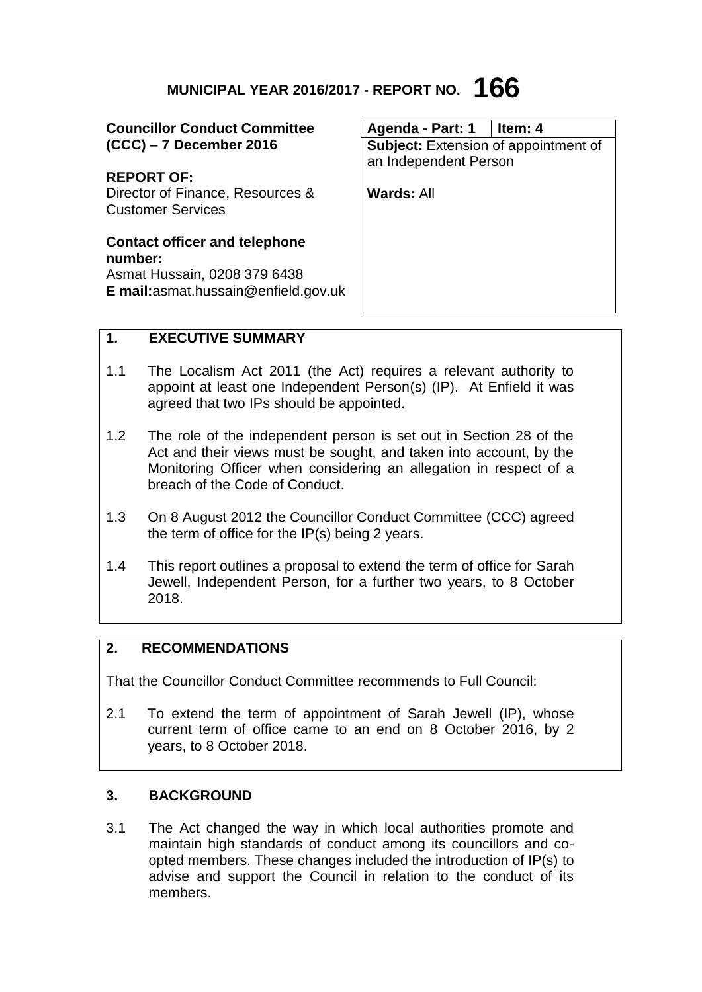# **MUNICIPAL YEAR 2016/2017 - REPORT NO. 166**

| <b>Councillor Conduct Committee</b>  | Agenda - Part: 1                            | l Item: 4 |
|--------------------------------------|---------------------------------------------|-----------|
| $(CCC) - 7$ December 2016            | <b>Subject:</b> Extension of appointment of |           |
|                                      | an Independent Person                       |           |
| <b>REPORT OF:</b>                    |                                             |           |
| Director of Finance, Resources &     | Wards: All                                  |           |
| <b>Customer Services</b>             |                                             |           |
|                                      |                                             |           |
| <b>Contact officer and telephone</b> |                                             |           |
| number:                              |                                             |           |
| Asmat Hussain, 0208 379 6438         |                                             |           |
| E mail: asmat.hussain@enfield.gov.uk |                                             |           |
|                                      |                                             |           |

## **1. EXECUTIVE SUMMARY**

- 1.1 The Localism Act 2011 (the Act) requires a relevant authority to appoint at least one Independent Person(s) (IP). At Enfield it was agreed that two IPs should be appointed.
- 1.2 The role of the independent person is set out in Section 28 of the Act and their views must be sought, and taken into account, by the Monitoring Officer when considering an allegation in respect of a breach of the Code of Conduct.
- 1.3 On 8 August 2012 the Councillor Conduct Committee (CCC) agreed the term of office for the IP(s) being 2 years.
- 1.4 This report outlines a proposal to extend the term of office for Sarah Jewell, Independent Person, for a further two years, to 8 October 2018.

## **2. RECOMMENDATIONS**

That the Councillor Conduct Committee recommends to Full Council:

2.1 To extend the term of appointment of Sarah Jewell (IP), whose current term of office came to an end on 8 October 2016, by 2 years, to 8 October 2018.

### **3. BACKGROUND**

3.1 The Act changed the way in which local authorities promote and maintain high standards of conduct among its councillors and coopted members. These changes included the introduction of IP(s) to advise and support the Council in relation to the conduct of its members.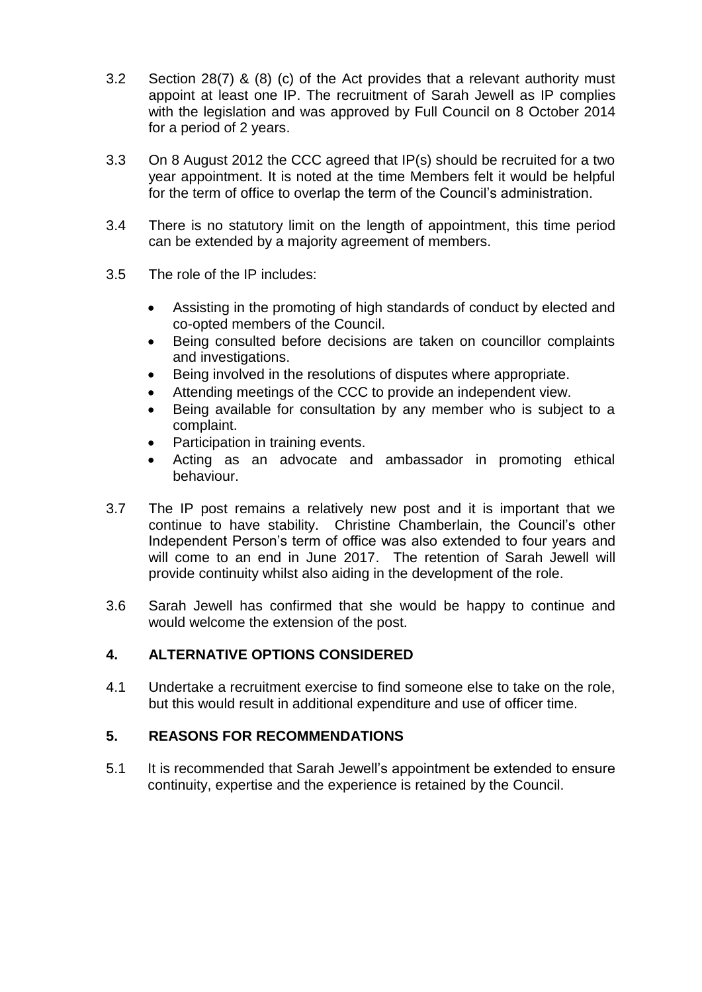- 3.2 Section 28(7) & (8) (c) of the Act provides that a relevant authority must appoint at least one IP. The recruitment of Sarah Jewell as IP complies with the legislation and was approved by Full Council on 8 October 2014 for a period of 2 years.
- 3.3 On 8 August 2012 the CCC agreed that IP(s) should be recruited for a two year appointment. It is noted at the time Members felt it would be helpful for the term of office to overlap the term of the Council's administration.
- 3.4 There is no statutory limit on the length of appointment, this time period can be extended by a majority agreement of members.
- 3.5 The role of the IP includes:
	- Assisting in the promoting of high standards of conduct by elected and co-opted members of the Council.
	- Being consulted before decisions are taken on councillor complaints and investigations.
	- Being involved in the resolutions of disputes where appropriate.
	- Attending meetings of the CCC to provide an independent view.
	- Being available for consultation by any member who is subject to a complaint.
	- Participation in training events.
	- Acting as an advocate and ambassador in promoting ethical behaviour.
- 3.7 The IP post remains a relatively new post and it is important that we continue to have stability. Christine Chamberlain, the Council's other Independent Person's term of office was also extended to four years and will come to an end in June 2017. The retention of Sarah Jewell will provide continuity whilst also aiding in the development of the role.
- 3.6 Sarah Jewell has confirmed that she would be happy to continue and would welcome the extension of the post.

### **4. ALTERNATIVE OPTIONS CONSIDERED**

4.1 Undertake a recruitment exercise to find someone else to take on the role, but this would result in additional expenditure and use of officer time.

### **5. REASONS FOR RECOMMENDATIONS**

5.1 It is recommended that Sarah Jewell's appointment be extended to ensure continuity, expertise and the experience is retained by the Council.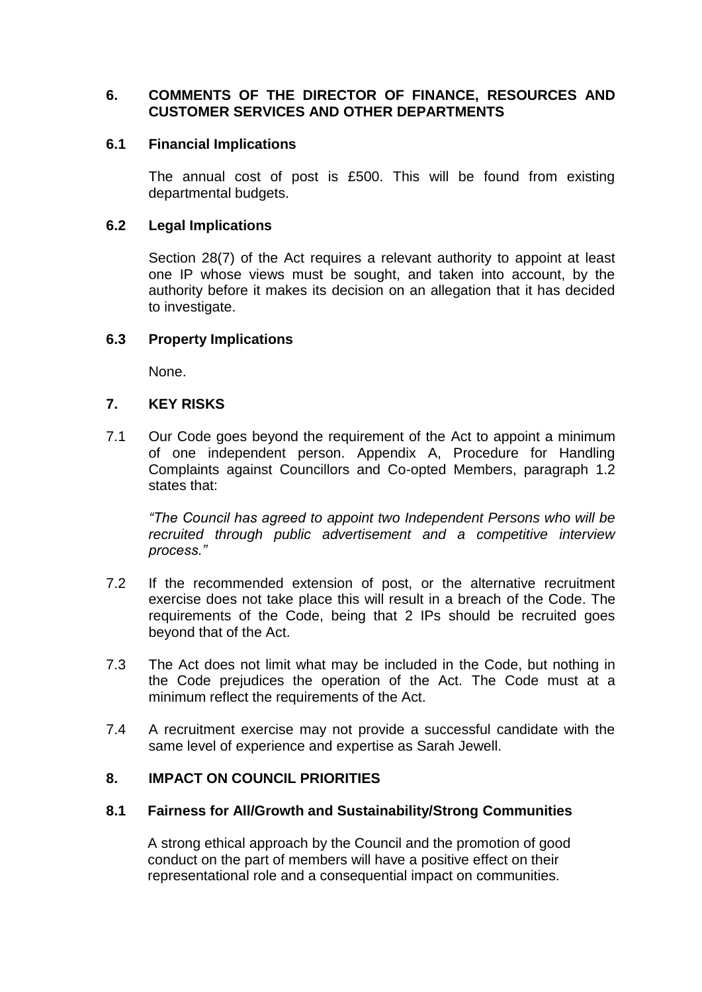## **6. COMMENTS OF THE DIRECTOR OF FINANCE, RESOURCES AND CUSTOMER SERVICES AND OTHER DEPARTMENTS**

#### **6.1 Financial Implications**

The annual cost of post is £500. This will be found from existing departmental budgets.

#### **6.2 Legal Implications**

Section 28(7) of the Act requires a relevant authority to appoint at least one IP whose views must be sought, and taken into account, by the authority before it makes its decision on an allegation that it has decided to investigate.

### **6.3 Property Implications**

None.

#### **7. KEY RISKS**

7.1 Our Code goes beyond the requirement of the Act to appoint a minimum of one independent person. Appendix A, Procedure for Handling Complaints against Councillors and Co-opted Members, paragraph 1.2 states that:

*"The Council has agreed to appoint two Independent Persons who will be recruited through public advertisement and a competitive interview process."*

- 7.2 If the recommended extension of post, or the alternative recruitment exercise does not take place this will result in a breach of the Code. The requirements of the Code, being that 2 IPs should be recruited goes beyond that of the Act.
- 7.3 The Act does not limit what may be included in the Code, but nothing in the Code prejudices the operation of the Act. The Code must at a minimum reflect the requirements of the Act.
- 7.4 A recruitment exercise may not provide a successful candidate with the same level of experience and expertise as Sarah Jewell.

### **8. IMPACT ON COUNCIL PRIORITIES**

#### **8.1 Fairness for All/Growth and Sustainability/Strong Communities**

A strong ethical approach by the Council and the promotion of good conduct on the part of members will have a positive effect on their representational role and a consequential impact on communities.